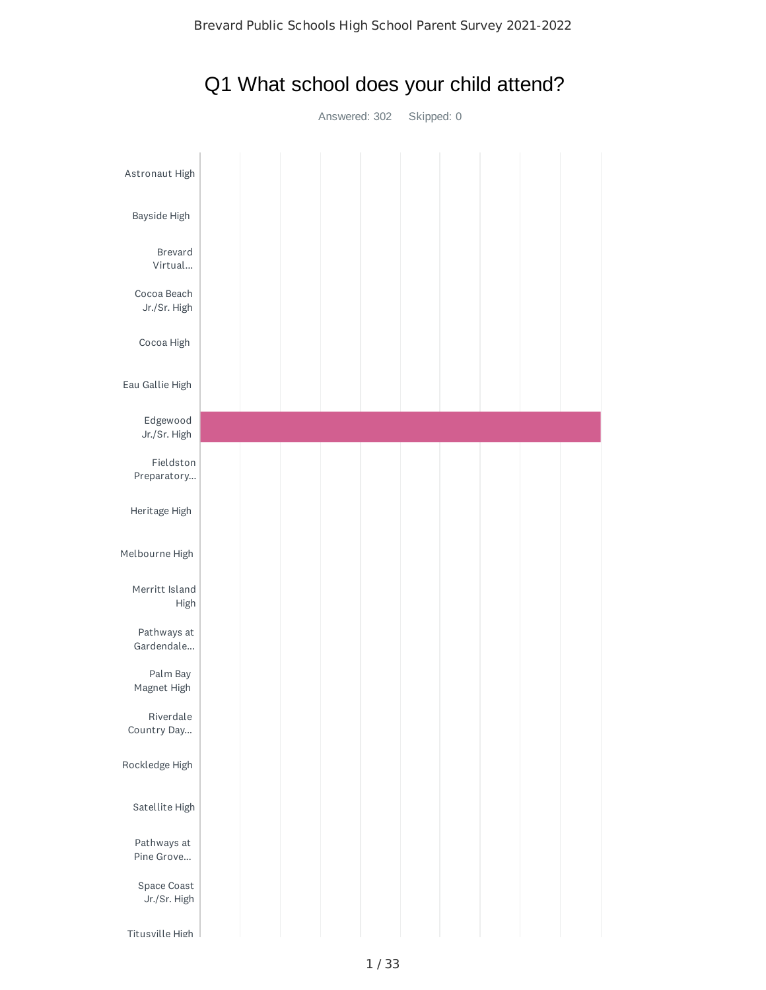

#### Q1 What school does your child attend?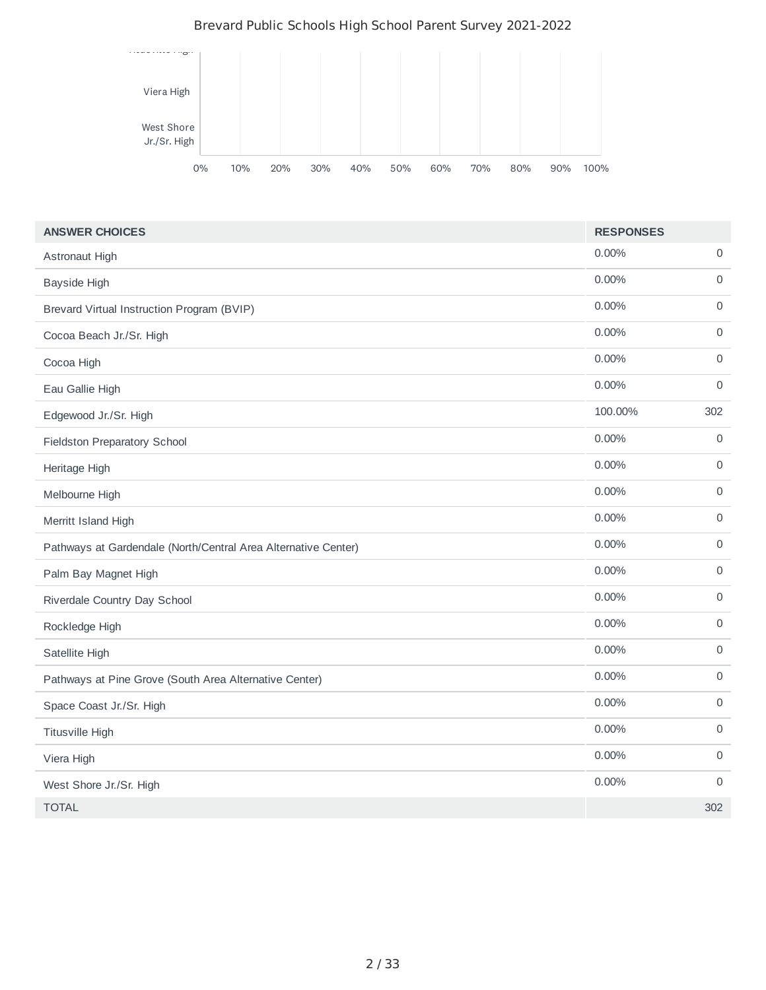#### Brevard Public Schools High School Parent Survey 2021-2022



| <b>ANSWER CHOICES</b>                                          | <b>RESPONSES</b> |                     |
|----------------------------------------------------------------|------------------|---------------------|
| Astronaut High                                                 | 0.00%            | 0                   |
| Bayside High                                                   | 0.00%            | $\mathbf 0$         |
| Brevard Virtual Instruction Program (BVIP)                     | 0.00%            | $\mathsf{O}\xspace$ |
| Cocoa Beach Jr./Sr. High                                       | 0.00%            | $\mathsf{O}\xspace$ |
| Cocoa High                                                     | 0.00%            | $\mathbf 0$         |
| Eau Gallie High                                                | 0.00%            | $\mathbf 0$         |
| Edgewood Jr./Sr. High                                          | 100.00%          | 302                 |
| <b>Fieldston Preparatory School</b>                            | 0.00%            | $\mathbf 0$         |
| Heritage High                                                  | 0.00%            | $\mathbf 0$         |
| Melbourne High                                                 | 0.00%            | $\mathbf 0$         |
| Merritt Island High                                            | 0.00%            | $\mathbf 0$         |
| Pathways at Gardendale (North/Central Area Alternative Center) | 0.00%            | $\mathsf{O}\xspace$ |
| Palm Bay Magnet High                                           | 0.00%            | $\mathsf{O}\xspace$ |
| Riverdale Country Day School                                   | 0.00%            | $\mathbf 0$         |
| Rockledge High                                                 | 0.00%            | $\mathbf 0$         |
| Satellite High                                                 | 0.00%            | $\mathsf{O}\xspace$ |
| Pathways at Pine Grove (South Area Alternative Center)         | 0.00%            | 0                   |
| Space Coast Jr./Sr. High                                       | 0.00%            | $\mathsf{O}\xspace$ |
| <b>Titusville High</b>                                         | 0.00%            | $\mathsf{O}\xspace$ |
| Viera High                                                     | 0.00%            | $\mathbf 0$         |
| West Shore Jr./Sr. High                                        | 0.00%            | $\mathbf 0$         |
| <b>TOTAL</b>                                                   |                  | 302                 |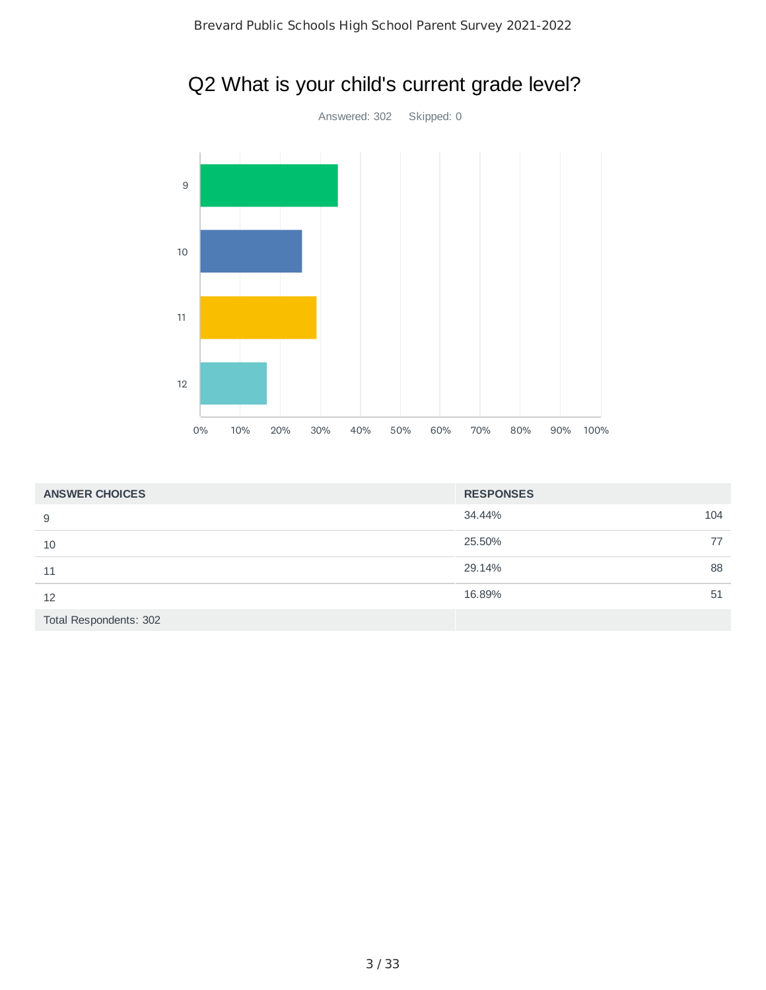

| <b>ANSWER CHOICES</b>  | <b>RESPONSES</b> |     |
|------------------------|------------------|-----|
| 9                      | 34.44%           | 104 |
| 10                     | 25.50%           | 77  |
| 11                     | 29.14%           | 88  |
| 12                     | 16.89%           | 51  |
| Total Respondents: 302 |                  |     |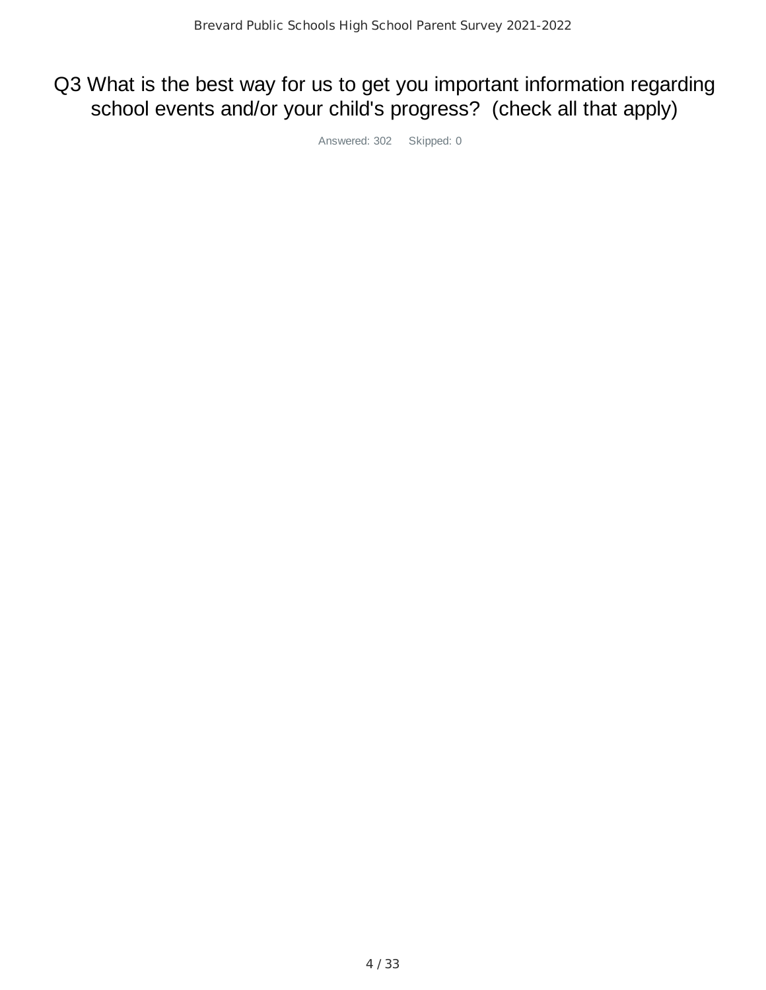# Q3 What is the best way for us to get you important information regarding school events and/or your child's progress? (check all that apply)

Answered: 302 Skipped: 0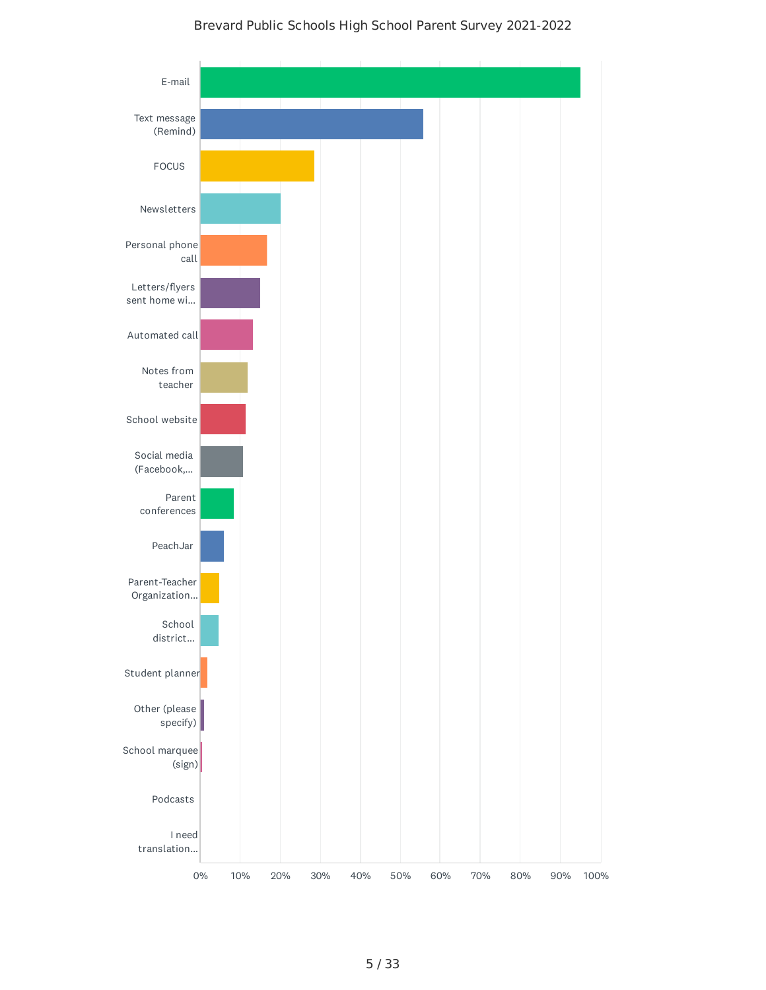#### Brevard Public Schools High School Parent Survey 2021-2022

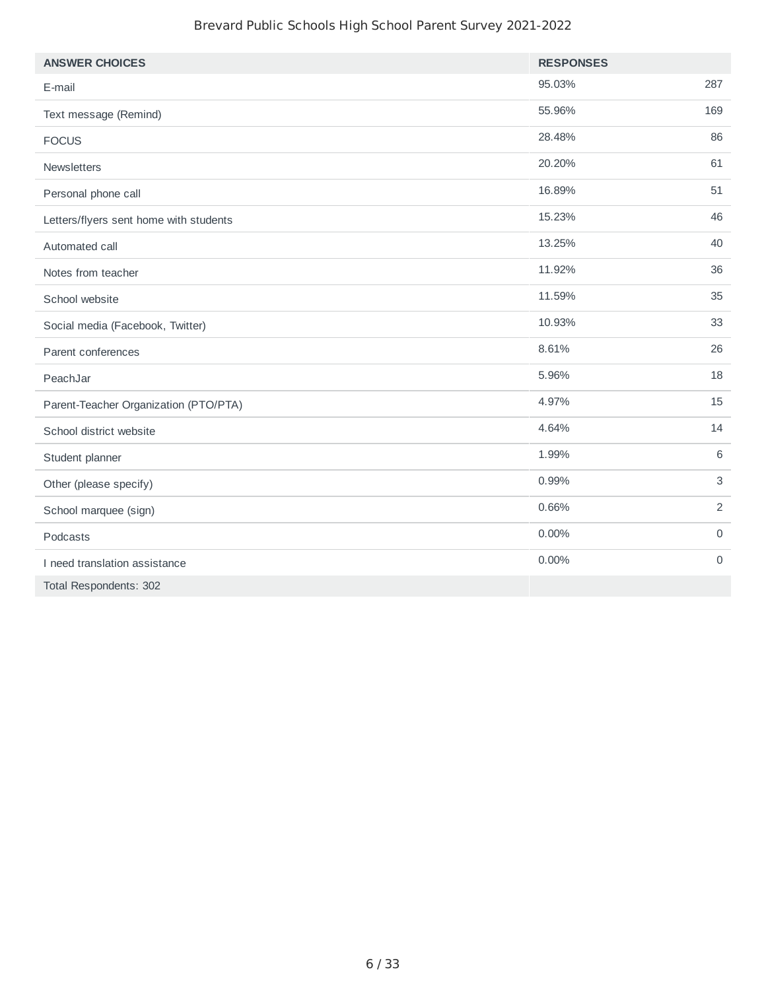#### Brevard Public Schools High School Parent Survey 2021-2022

| <b>ANSWER CHOICES</b>                  | <b>RESPONSES</b> |              |
|----------------------------------------|------------------|--------------|
| E-mail                                 | 95.03%           | 287          |
| Text message (Remind)                  | 55.96%           | 169          |
| <b>FOCUS</b>                           | 28.48%           | 86           |
| <b>Newsletters</b>                     | 20.20%           | 61           |
| Personal phone call                    | 16.89%           | 51           |
| Letters/flyers sent home with students | 15.23%           | 46           |
| Automated call                         | 13.25%           | 40           |
| Notes from teacher                     | 11.92%           | 36           |
| School website                         | 11.59%           | 35           |
| Social media (Facebook, Twitter)       | 10.93%           | 33           |
| Parent conferences                     | 8.61%            | 26           |
| PeachJar                               | 5.96%            | 18           |
| Parent-Teacher Organization (PTO/PTA)  | 4.97%            | 15           |
| School district website                | 4.64%            | 14           |
| Student planner                        | 1.99%            | 6            |
| Other (please specify)                 | 0.99%            | $\mathsf{3}$ |
| School marquee (sign)                  | 0.66%            | 2            |
| Podcasts                               | 0.00%            | $\mathsf O$  |
| I need translation assistance          | 0.00%            | $\mathbf 0$  |
| Total Respondents: 302                 |                  |              |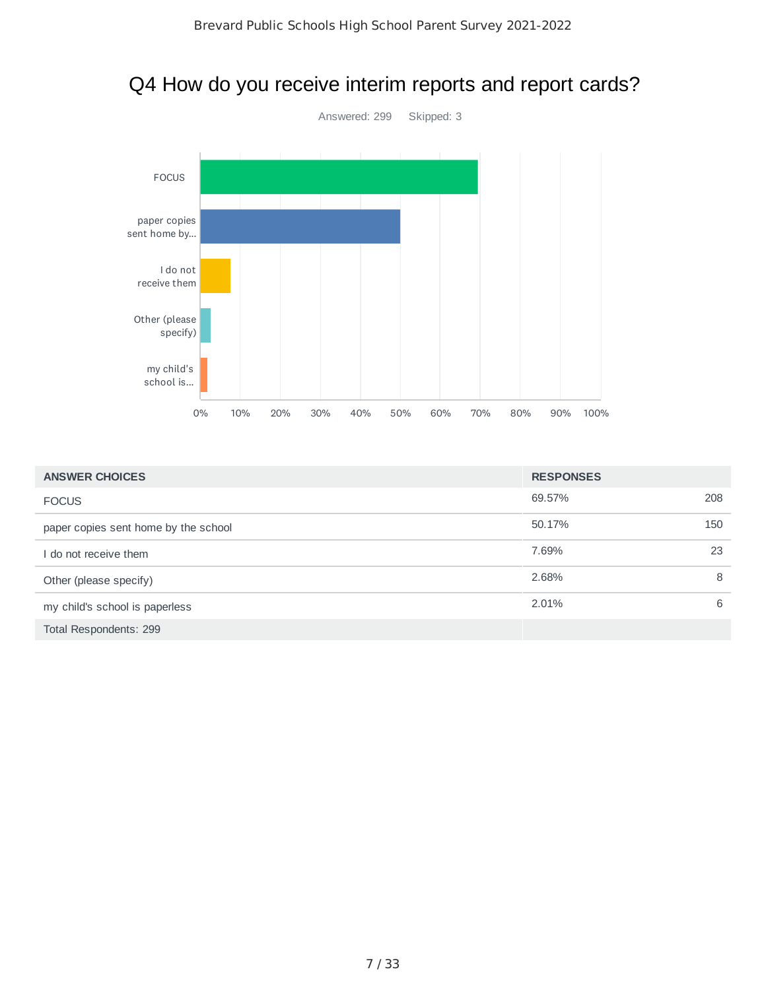## Q4 How do you receive interim reports and report cards?



| <b>ANSWER CHOICES</b>                | <b>RESPONSES</b> |     |
|--------------------------------------|------------------|-----|
| <b>FOCUS</b>                         | 69.57%           | 208 |
| paper copies sent home by the school | 50.17%           | 150 |
| I do not receive them                | 7.69%            | 23  |
| Other (please specify)               | 2.68%            | 8   |
| my child's school is paperless       | 2.01%            | 6   |
| Total Respondents: 299               |                  |     |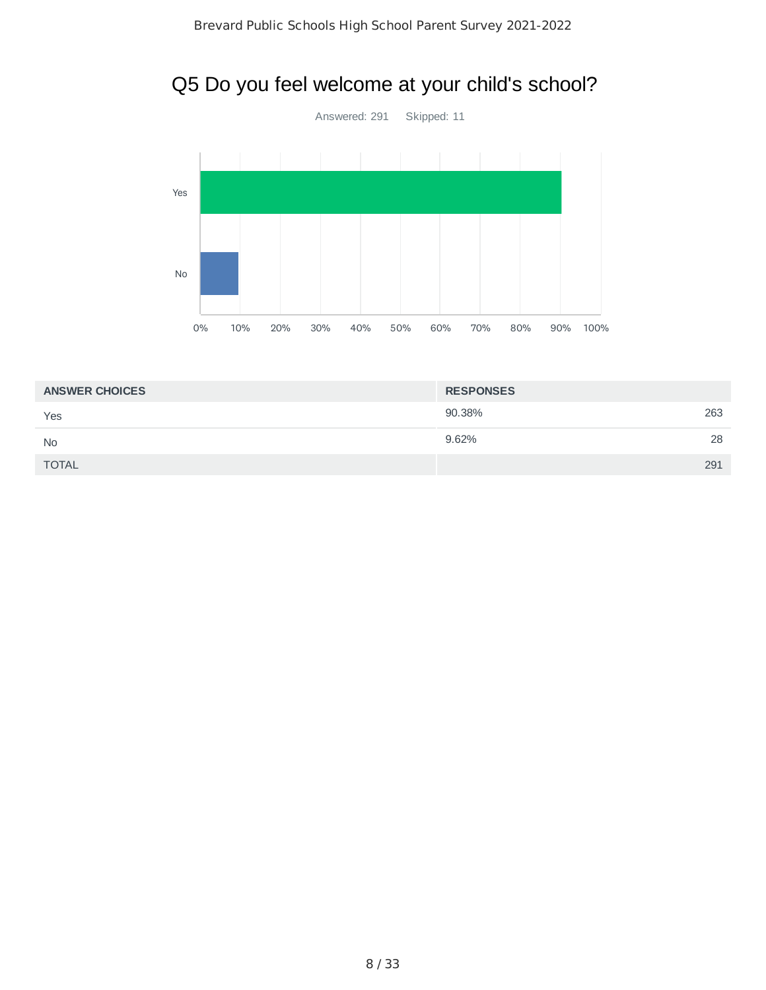## Q5 Do you feel welcome at your child's school?



| <b>ANSWER CHOICES</b> | <b>RESPONSES</b> |  |
|-----------------------|------------------|--|
| Yes                   | 263<br>90.38%    |  |
| <b>No</b>             | 28<br>9.62%      |  |
| <b>TOTAL</b>          | 291              |  |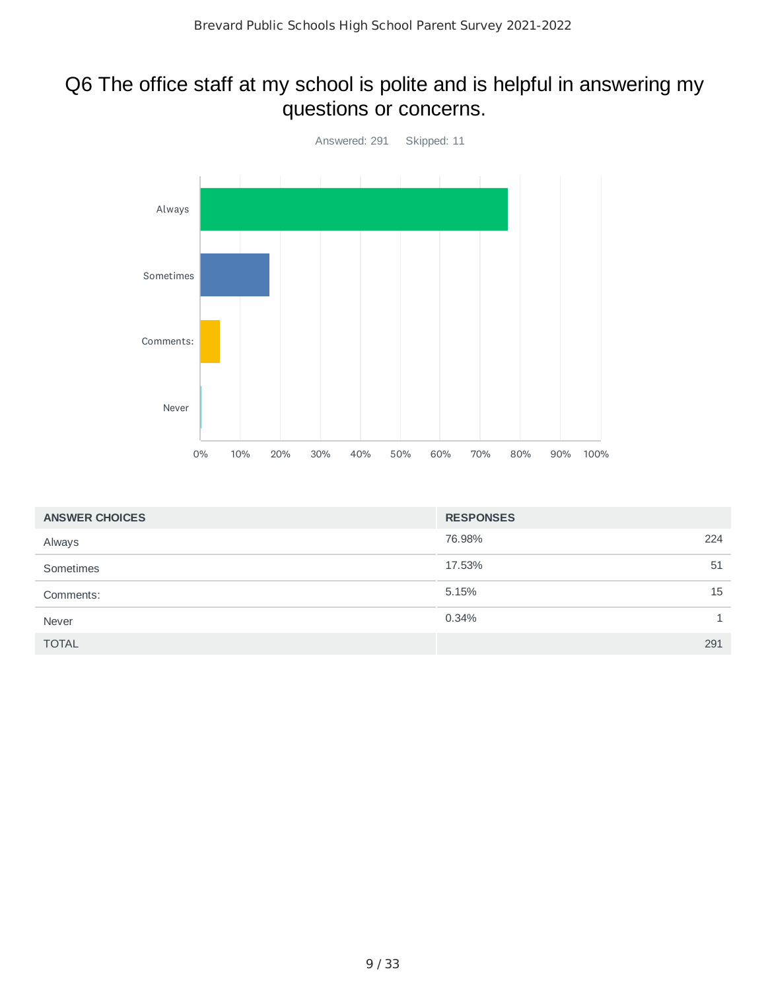## Q6 The office staff at my school is polite and is helpful in answering my questions or concerns.



| <b>ANSWER CHOICES</b> | <b>RESPONSES</b> |     |
|-----------------------|------------------|-----|
| Always                | 76.98%           | 224 |
| Sometimes             | 17.53%           | 51  |
| Comments:             | 5.15%            | 15  |
| Never                 | 0.34%            |     |
| <b>TOTAL</b>          |                  | 291 |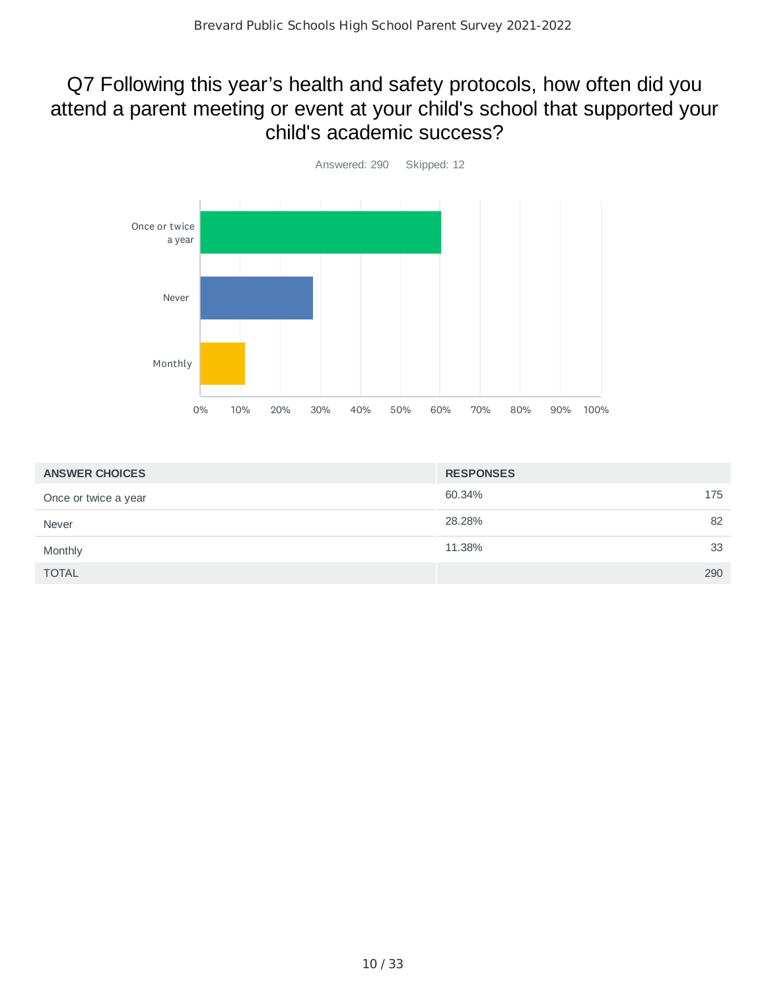#### Q7 Following this year's health and safety protocols, how often did you attend a parent meeting or event at your child's school that supported your child's academic success?



| <b>ANSWER CHOICES</b> | <b>RESPONSES</b> |
|-----------------------|------------------|
| Once or twice a year  | 60.34%<br>175    |
| Never                 | 82<br>28.28%     |
| Monthly               | 33<br>11.38%     |
| <b>TOTAL</b>          | 290              |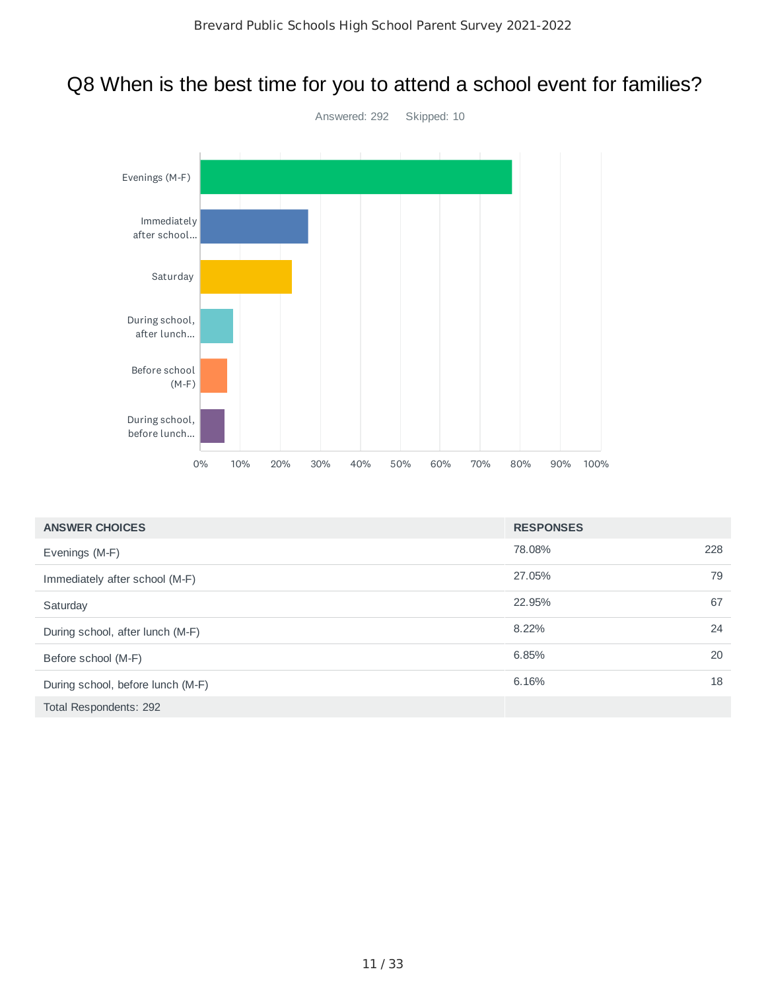# Q8 When is the best time for you to attend a school event for families?



| <b>ANSWER CHOICES</b>             | <b>RESPONSES</b> |     |
|-----------------------------------|------------------|-----|
| Evenings (M-F)                    | 78.08%           | 228 |
| Immediately after school (M-F)    | 27.05%           | 79  |
| Saturday                          | 22.95%           | 67  |
| During school, after lunch (M-F)  | 8.22%            | 24  |
| Before school (M-F)               | 6.85%            | 20  |
| During school, before lunch (M-F) | 6.16%            | 18  |
| Total Respondents: 292            |                  |     |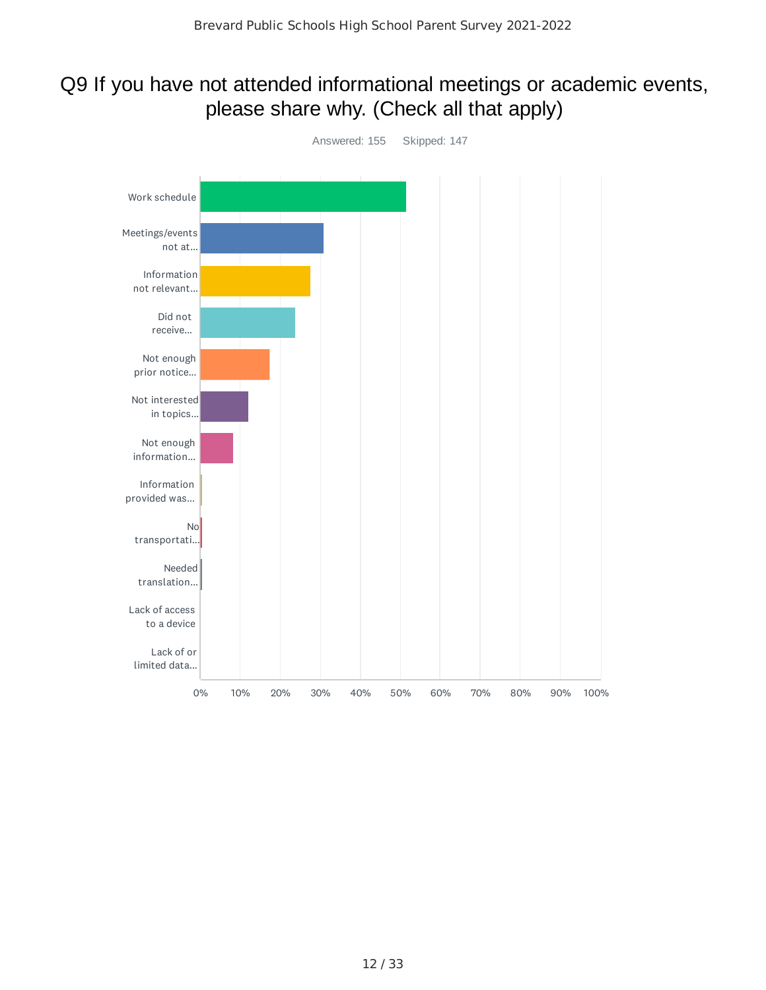## Q9 If you have not attended informational meetings or academic events, please share why. (Check all that apply)

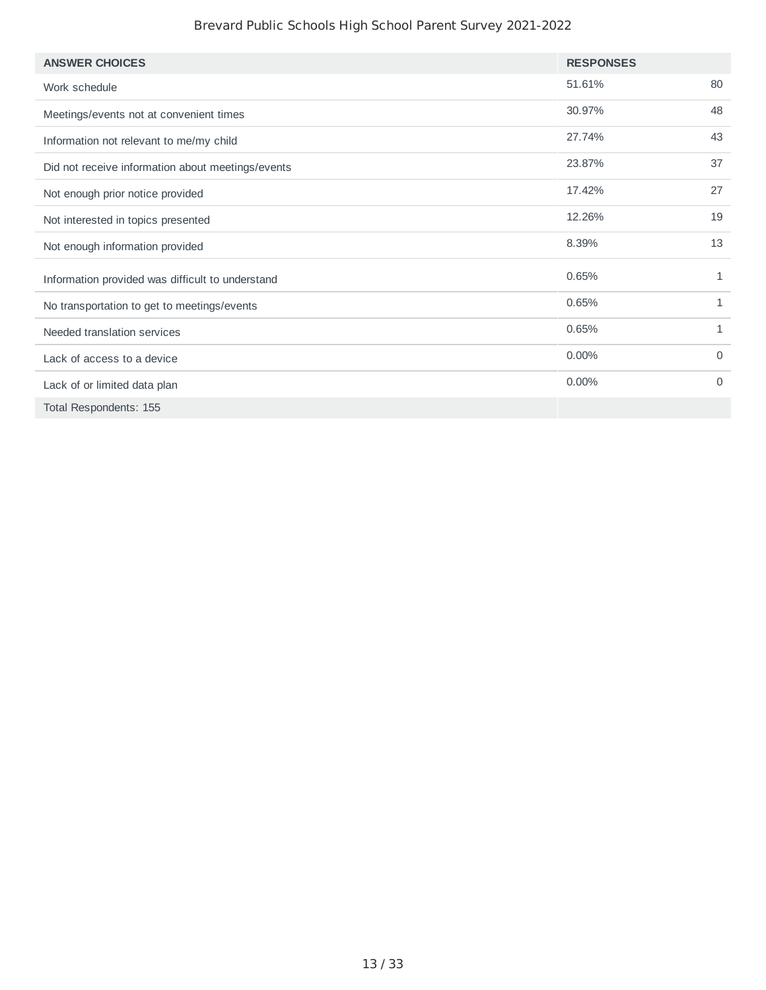#### Brevard Public Schools High School Parent Survey 2021-2022

| <b>ANSWER CHOICES</b>                             | <b>RESPONSES</b> |              |
|---------------------------------------------------|------------------|--------------|
| Work schedule                                     | 51.61%           | 80           |
| Meetings/events not at convenient times           | 30.97%           | 48           |
| Information not relevant to me/my child           | 27.74%           | 43           |
| Did not receive information about meetings/events | 23.87%           | 37           |
| Not enough prior notice provided                  | 17.42%           | 27           |
| Not interested in topics presented                | 12.26%           | 19           |
| Not enough information provided                   | 8.39%            | 13           |
| Information provided was difficult to understand  | 0.65%            | 1            |
| No transportation to get to meetings/events       | 0.65%            | 1            |
| Needed translation services                       | 0.65%            | $\mathbf{1}$ |
| Lack of access to a device                        | 0.00%            | $\Omega$     |
| Lack of or limited data plan                      | 0.00%            | $\Omega$     |
| Total Respondents: 155                            |                  |              |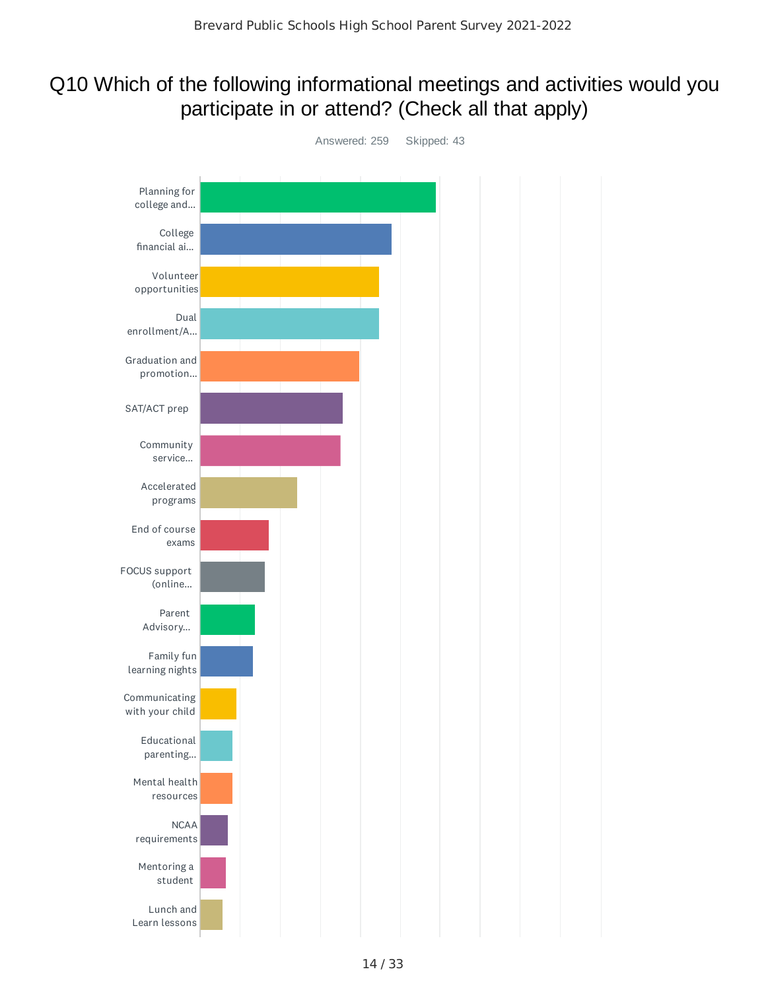#### Q10 Which of the following informational meetings and activities would you participate in or attend? (Check all that apply)

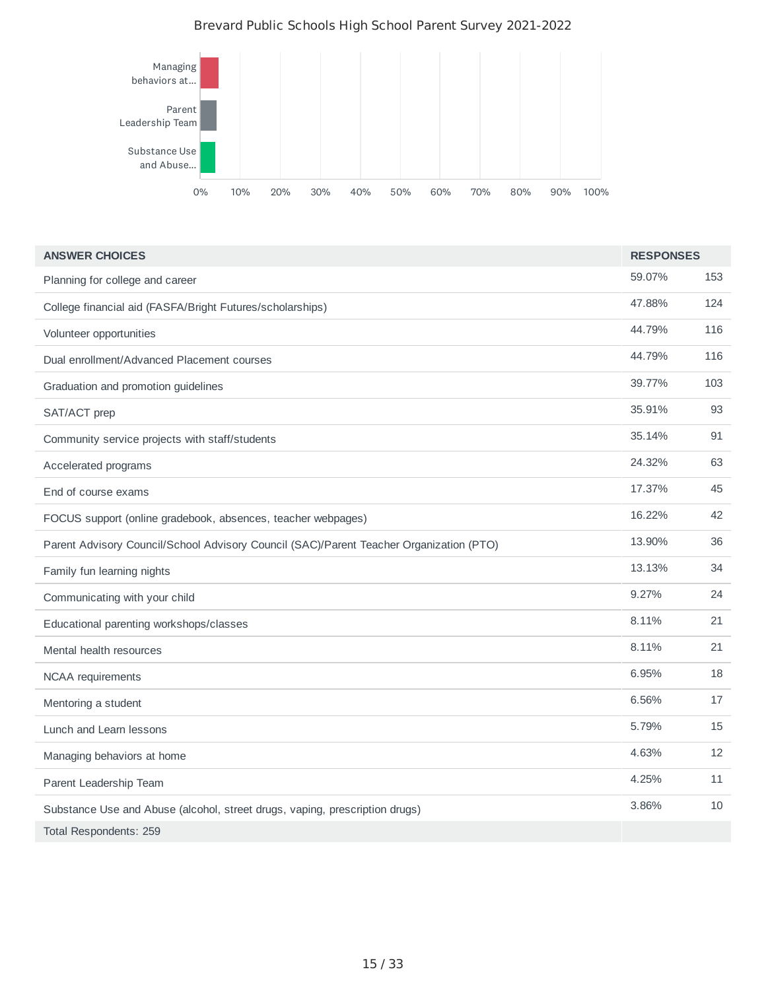#### Brevard Public Schools High School Parent Survey 2021-2022



| <b>ANSWER CHOICES</b>                                                                   | <b>RESPONSES</b> |     |
|-----------------------------------------------------------------------------------------|------------------|-----|
| Planning for college and career                                                         | 59.07%           | 153 |
| College financial aid (FASFA/Bright Futures/scholarships)                               | 47.88%           | 124 |
| Volunteer opportunities                                                                 | 44.79%           | 116 |
| Dual enrollment/Advanced Placement courses                                              | 44.79%           | 116 |
| Graduation and promotion guidelines                                                     | 39.77%           | 103 |
| SAT/ACT prep                                                                            | 35.91%           | 93  |
| Community service projects with staff/students                                          | 35.14%           | 91  |
| Accelerated programs                                                                    | 24.32%           | 63  |
| End of course exams                                                                     | 17.37%           | 45  |
| FOCUS support (online gradebook, absences, teacher webpages)                            | 16.22%           | 42  |
| Parent Advisory Council/School Advisory Council (SAC)/Parent Teacher Organization (PTO) | 13.90%           | 36  |
| Family fun learning nights                                                              | 13.13%           | 34  |
| Communicating with your child                                                           | 9.27%            | 24  |
| Educational parenting workshops/classes                                                 | 8.11%            | 21  |
| Mental health resources                                                                 | 8.11%            | 21  |
| NCAA requirements                                                                       | 6.95%            | 18  |
| Mentoring a student                                                                     | 6.56%            | 17  |
| Lunch and Learn lessons                                                                 | 5.79%            | 15  |
| Managing behaviors at home                                                              | 4.63%            | 12  |
| Parent Leadership Team                                                                  | 4.25%            | 11  |
| Substance Use and Abuse (alcohol, street drugs, vaping, prescription drugs)             | 3.86%            | 10  |
| Total Respondents: 259                                                                  |                  |     |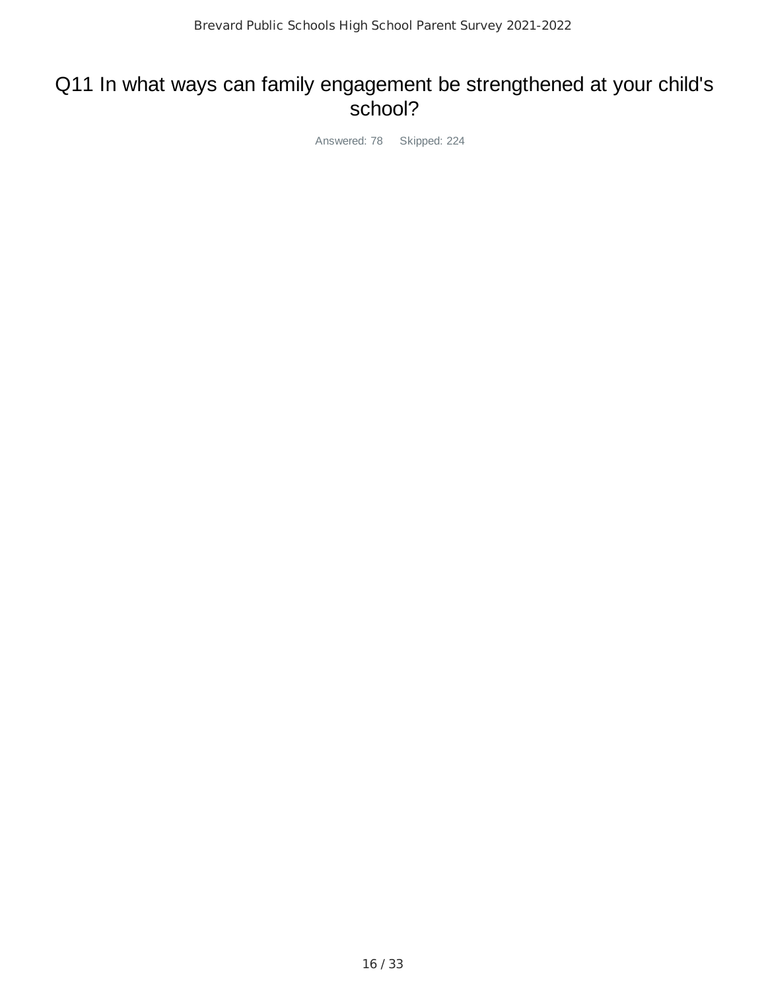#### Q11 In what ways can family engagement be strengthened at your child's school?

Answered: 78 Skipped: 224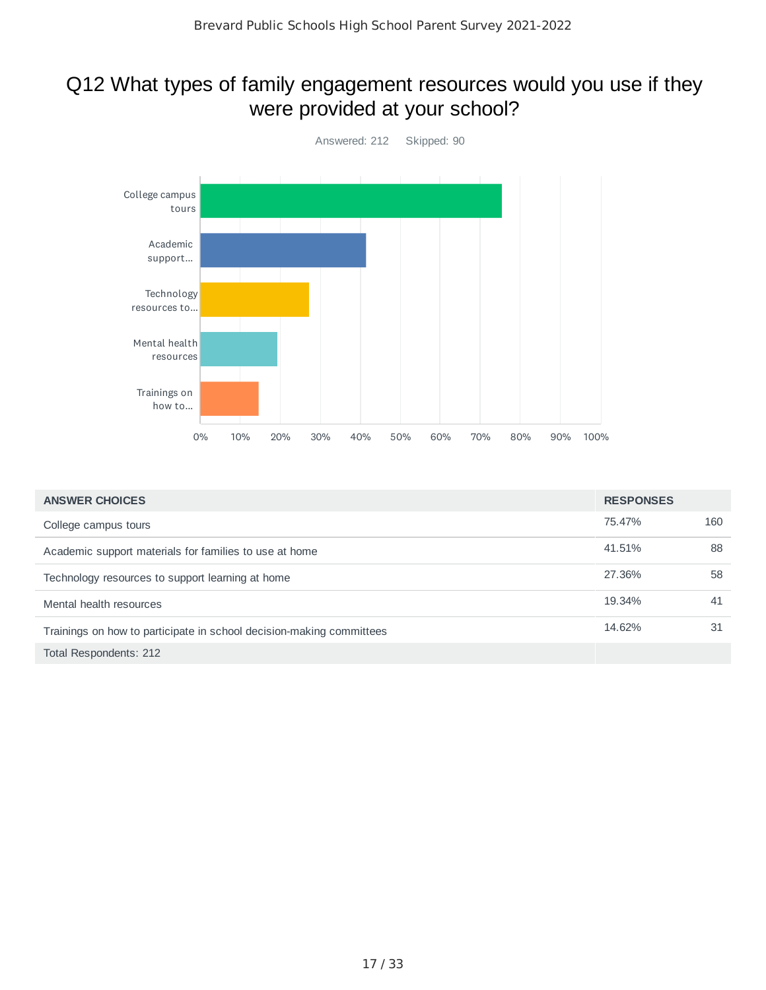#### Q12 What types of family engagement resources would you use if they were provided at your school?



| <b>ANSWER CHOICES</b>                                                | <b>RESPONSES</b> |     |
|----------------------------------------------------------------------|------------------|-----|
| College campus tours                                                 | 75.47%           | 160 |
| Academic support materials for families to use at home               | 41.51%           | 88  |
| Technology resources to support learning at home                     | 27.36%           | 58  |
| Mental health resources                                              | 19.34%           | 41  |
| Trainings on how to participate in school decision-making committees | 14.62%           | 31  |
| Total Respondents: 212                                               |                  |     |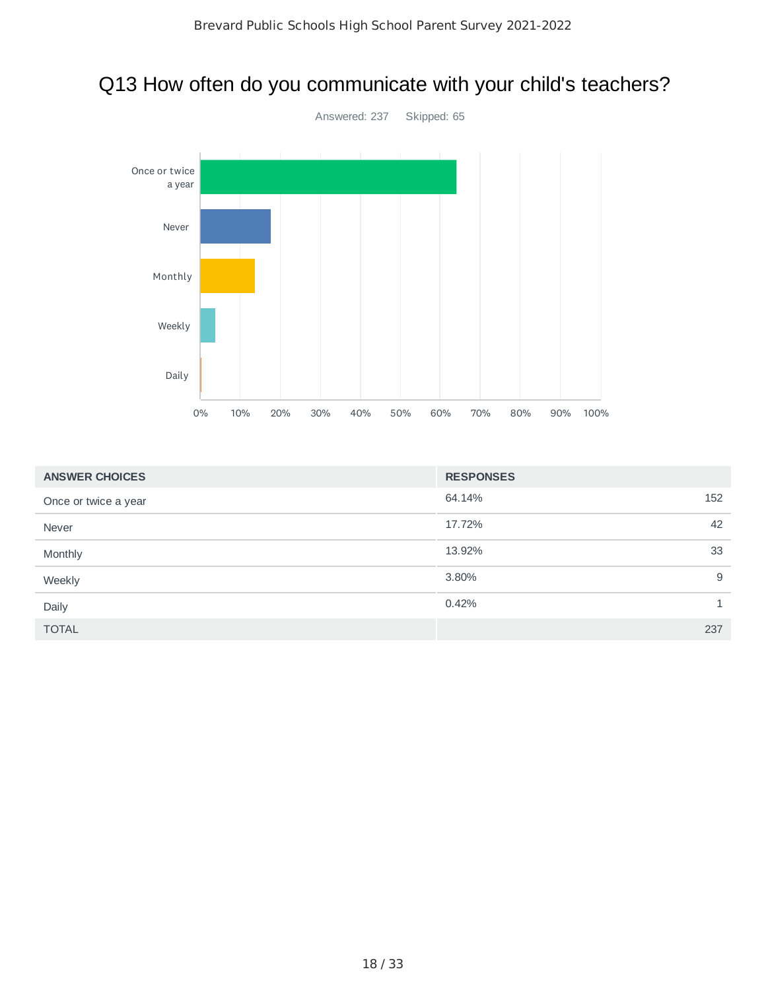## Q13 How often do you communicate with your child's teachers?



| <b>ANSWER CHOICES</b> | <b>RESPONSES</b> |     |
|-----------------------|------------------|-----|
| Once or twice a year  | 64.14%           | 152 |
| Never                 | 17.72%           | 42  |
| Monthly               | 13.92%           | 33  |
| Weekly                | 3.80%            | 9   |
| Daily                 | 0.42%            |     |
| <b>TOTAL</b>          |                  | 237 |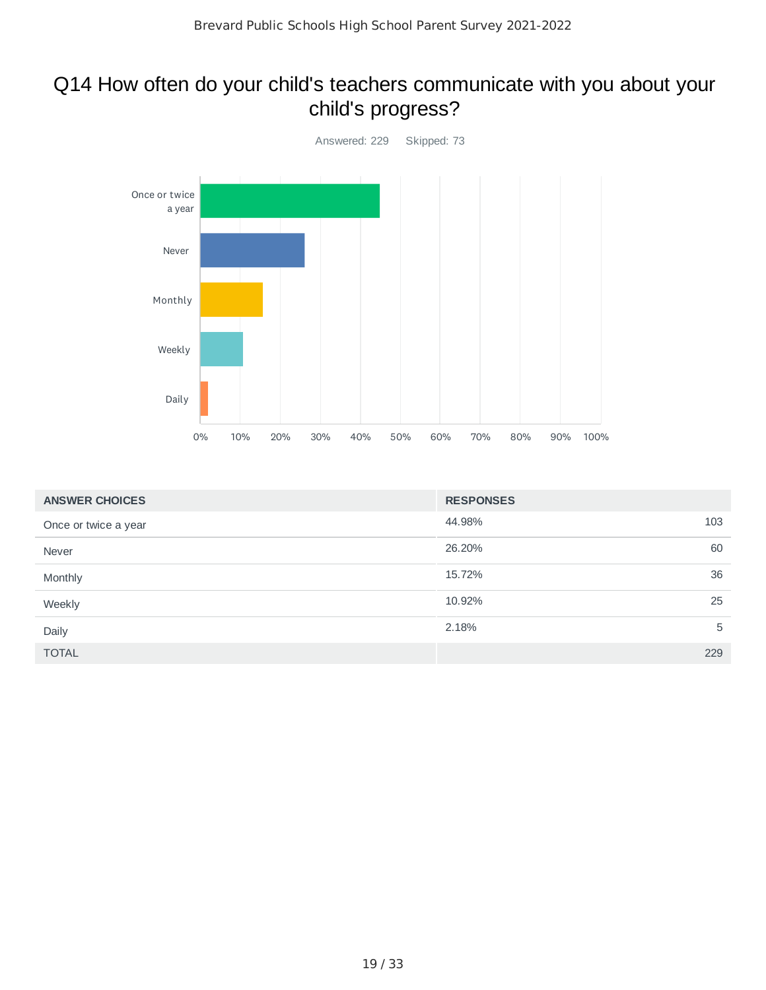#### Q14 How often do your child's teachers communicate with you about your child's progress?



| <b>ANSWER CHOICES</b> | <b>RESPONSES</b> |     |
|-----------------------|------------------|-----|
| Once or twice a year  | 44.98%           | 103 |
| Never                 | 26.20%           | 60  |
| Monthly               | 15.72%           | 36  |
| Weekly                | 10.92%           | 25  |
| Daily                 | 2.18%            | 5   |
| <b>TOTAL</b>          |                  | 229 |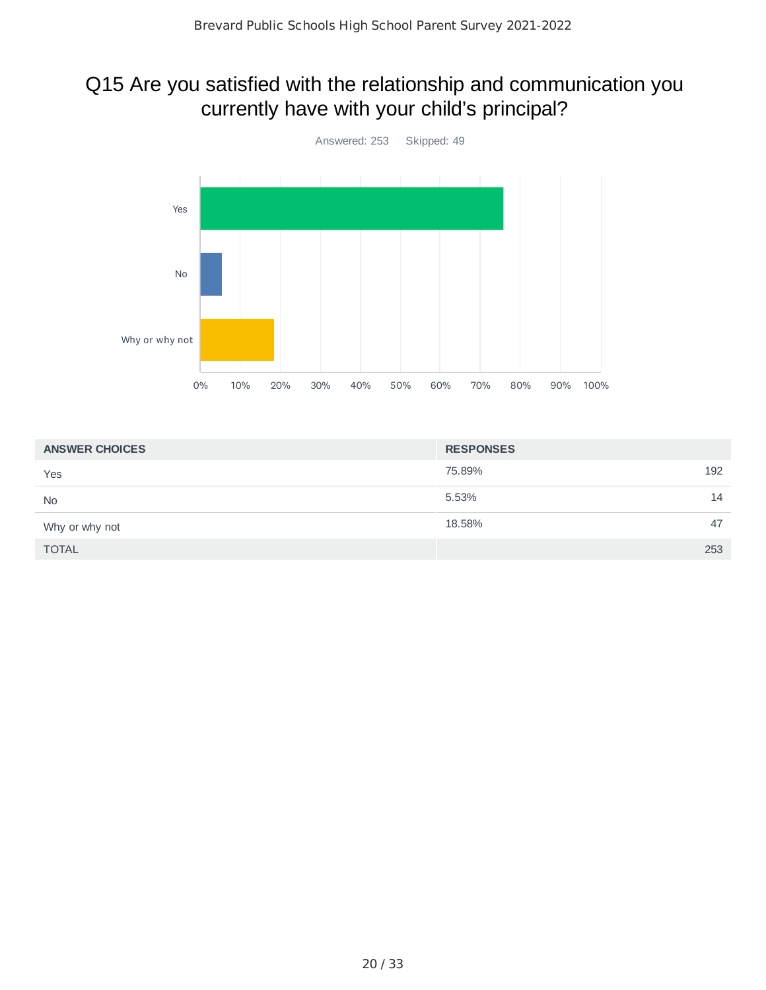## Q15 Are you satisfied with the relationship and communication you currently have with your child's principal?



| <b>ANSWER CHOICES</b> | <b>RESPONSES</b> |
|-----------------------|------------------|
| Yes                   | 75.89%<br>192    |
| <b>No</b>             | 5.53%<br>14      |
| Why or why not        | 18.58%<br>47     |
| <b>TOTAL</b>          | 253              |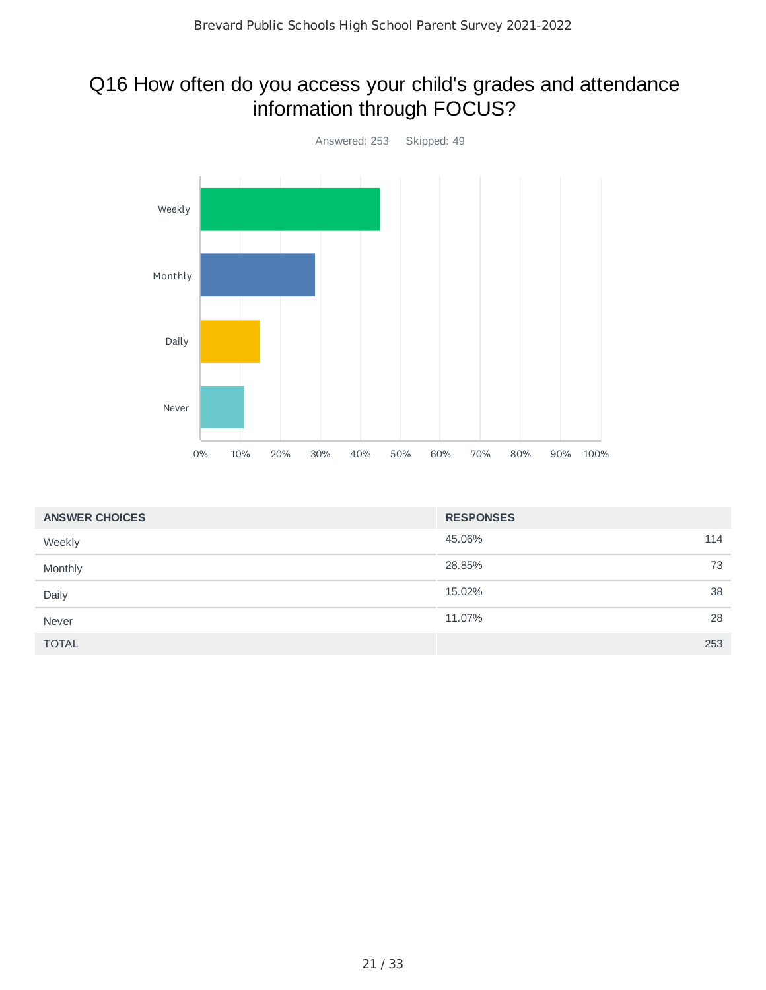## Q16 How often do you access your child's grades and attendance information through FOCUS?



| <b>ANSWER CHOICES</b> | <b>RESPONSES</b> |     |
|-----------------------|------------------|-----|
| Weekly                | 45.06%           | 114 |
| Monthly               | 28.85%           | 73  |
| Daily                 | 15.02%           | 38  |
| Never                 | 11.07%           | 28  |
| <b>TOTAL</b>          |                  | 253 |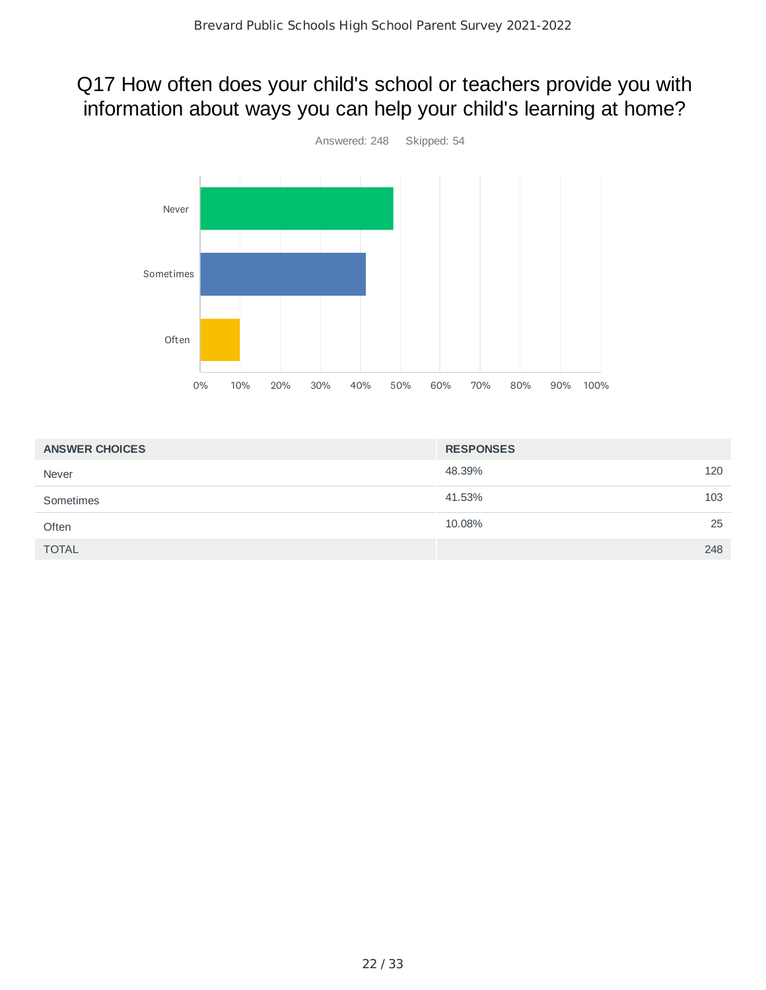#### Q17 How often does your child's school or teachers provide you with information about ways you can help your child's learning at home?



| <b>ANSWER CHOICES</b> | <b>RESPONSES</b> |
|-----------------------|------------------|
| Never                 | 48.39%<br>120    |
| Sometimes             | 41.53%<br>103    |
| Often                 | 25<br>10.08%     |
| <b>TOTAL</b>          | 248              |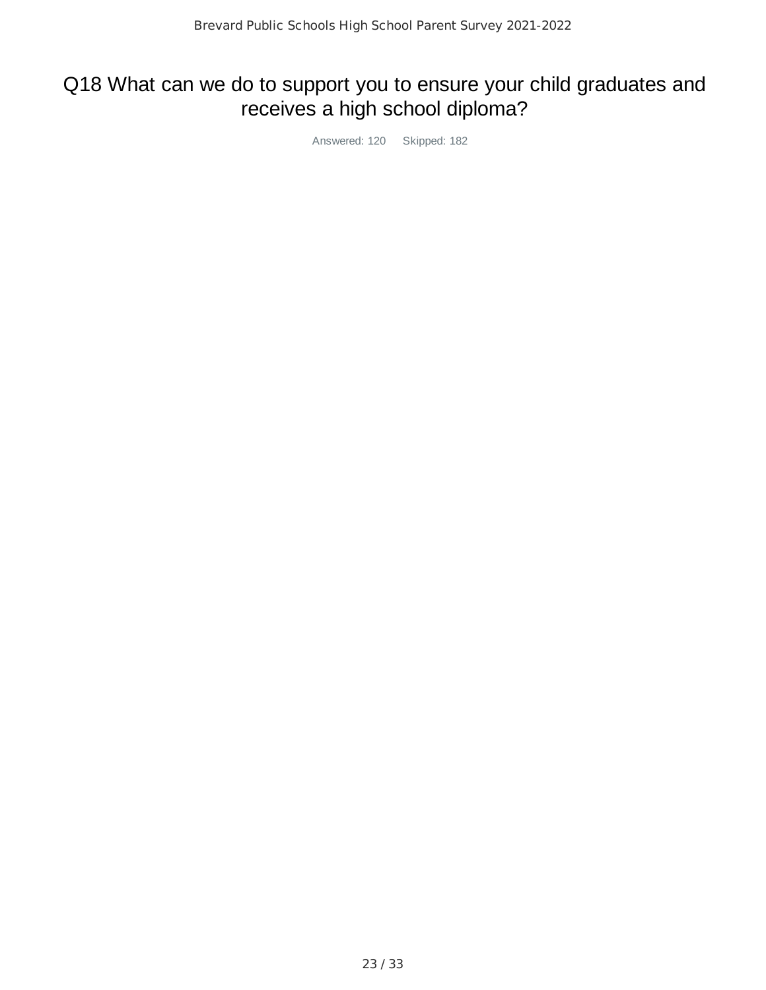## Q18 What can we do to support you to ensure your child graduates and receives a high school diploma?

Answered: 120 Skipped: 182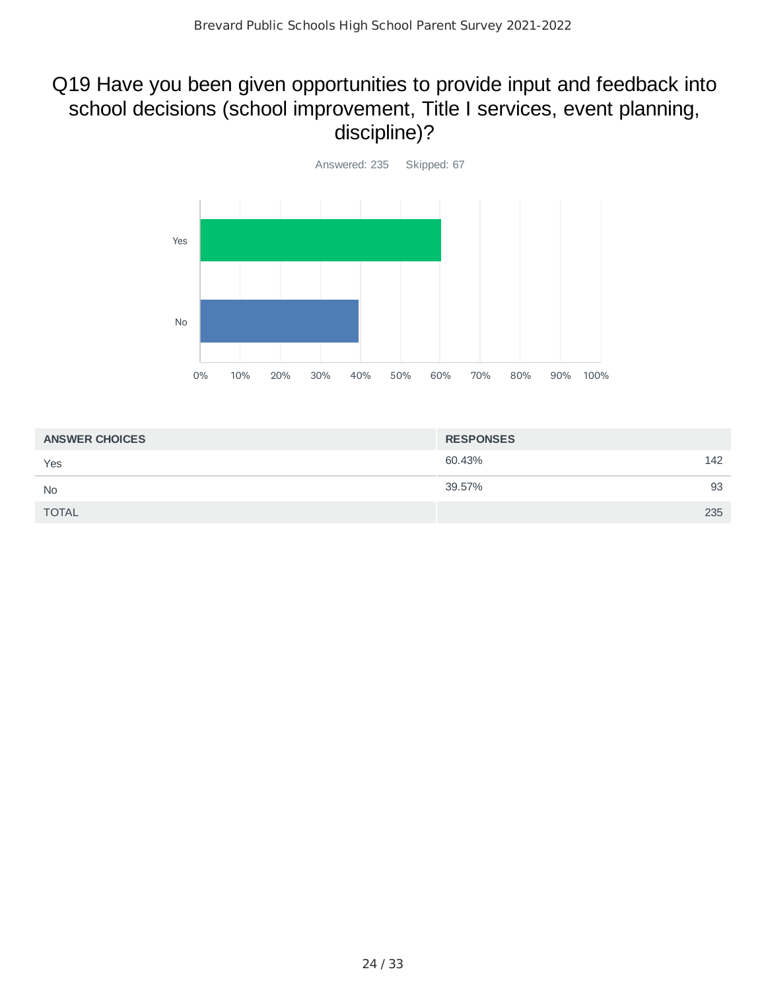## Q19 Have you been given opportunities to provide input and feedback into school decisions (school improvement, Title I services, event planning, discipline)?



| <b>ANSWER CHOICES</b> | <b>RESPONSES</b> |
|-----------------------|------------------|
| Yes                   | 60.43%<br>142    |
| <b>No</b>             | 39.57%<br>93     |
| <b>TOTAL</b>          | 235              |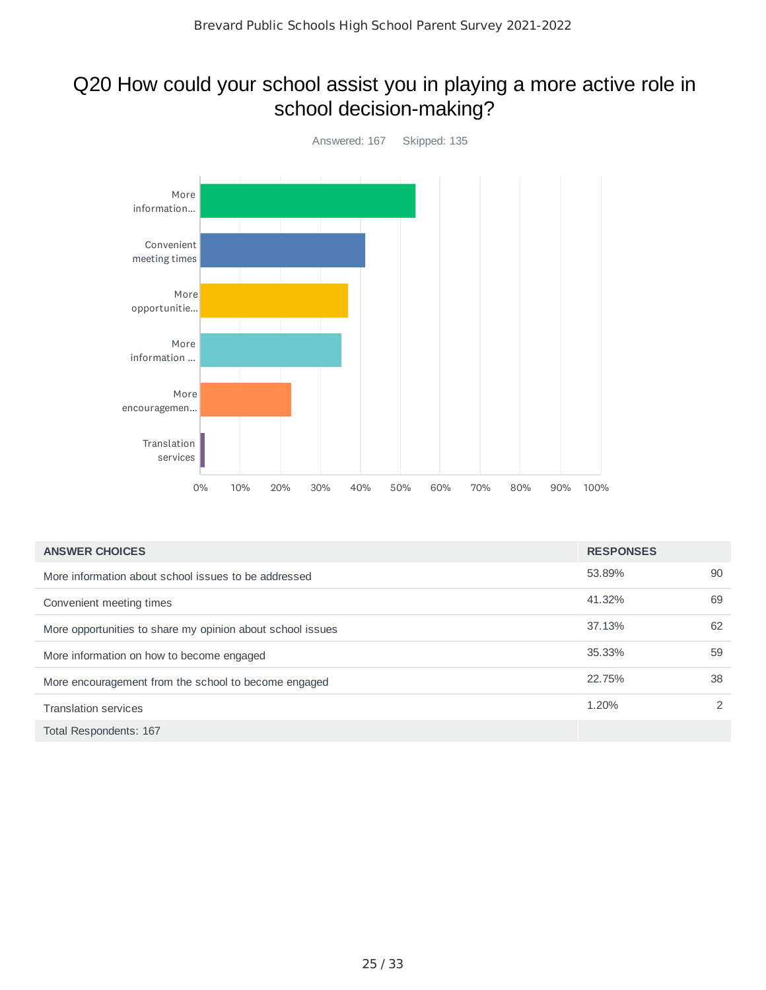## Q20 How could your school assist you in playing a more active role in school decision-making?



| <b>ANSWER CHOICES</b>                                      | <b>RESPONSES</b> |               |
|------------------------------------------------------------|------------------|---------------|
| More information about school issues to be addressed       | 53.89%           | 90            |
| Convenient meeting times                                   | 41.32%           | 69            |
| More opportunities to share my opinion about school issues | 37.13%           | 62            |
| More information on how to become engaged                  | 35.33%           | 59            |
| More encouragement from the school to become engaged       | 22.75%           | 38            |
| <b>Translation services</b>                                | 1.20%            | $\mathcal{P}$ |
| Total Respondents: 167                                     |                  |               |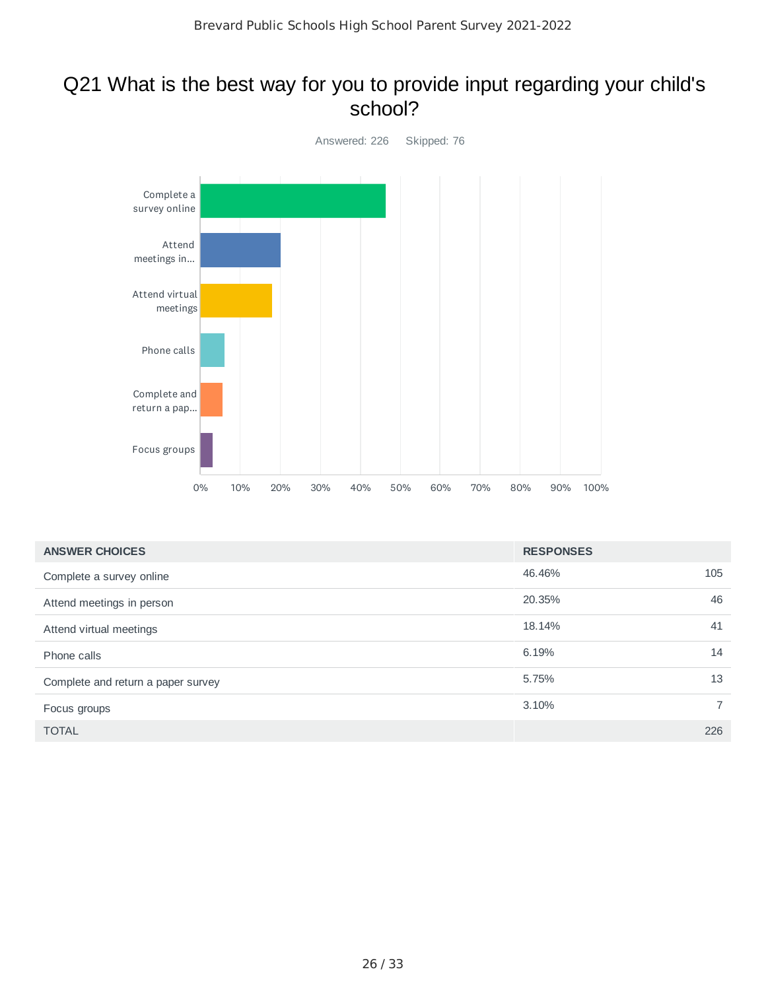#### Q21 What is the best way for you to provide input regarding your child's school?



| <b>ANSWER CHOICES</b>              | <b>RESPONSES</b> |                |
|------------------------------------|------------------|----------------|
| Complete a survey online           | 46.46%           | 105            |
| Attend meetings in person          | 20.35%           | 46             |
| Attend virtual meetings            | 18.14%           | 41             |
| Phone calls                        | 6.19%            | 14             |
| Complete and return a paper survey | 5.75%            | 13             |
| Focus groups                       | 3.10%            | $\overline{7}$ |
| <b>TOTAL</b>                       |                  | 226            |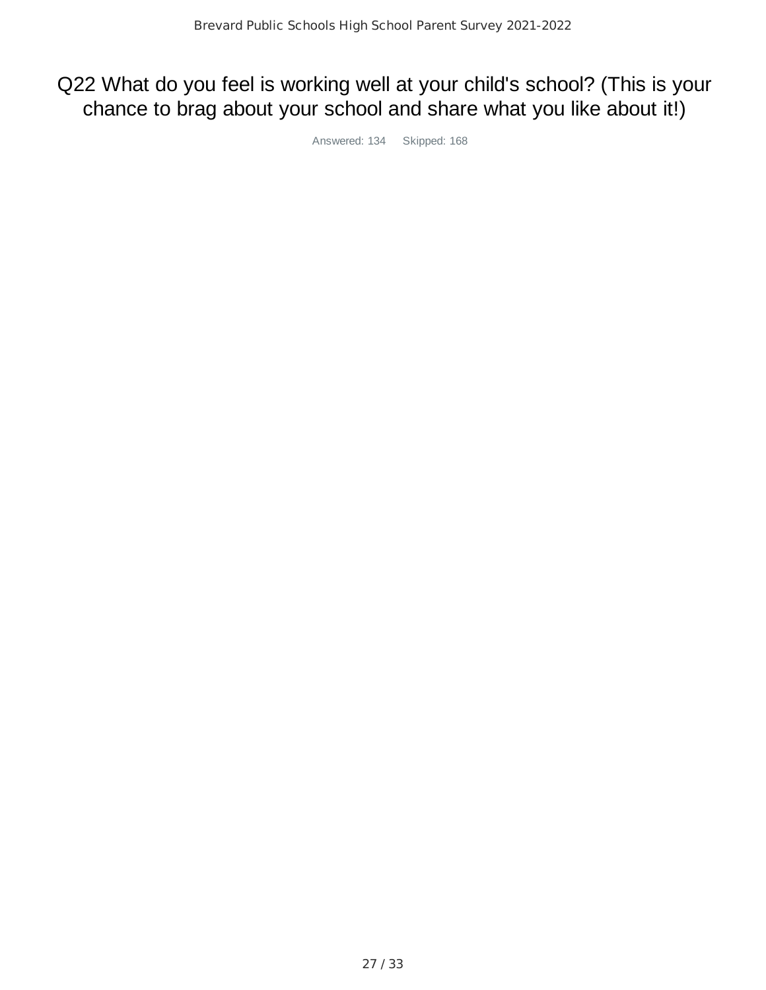## Q22 What do you feel is working well at your child's school? (This is your chance to brag about your school and share what you like about it!)

Answered: 134 Skipped: 168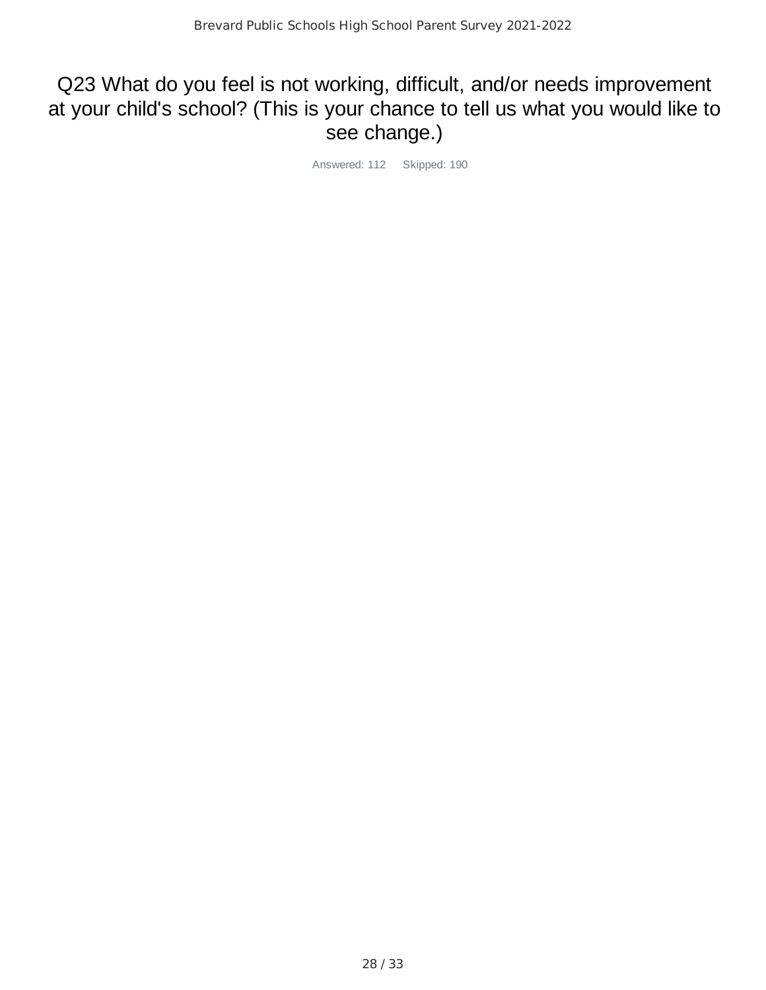## Q23 What do you feel is not working, difficult, and/or needs improvement at your child's school? (This is your chance to tell us what you would like to see change.)

Answered: 112 Skipped: 190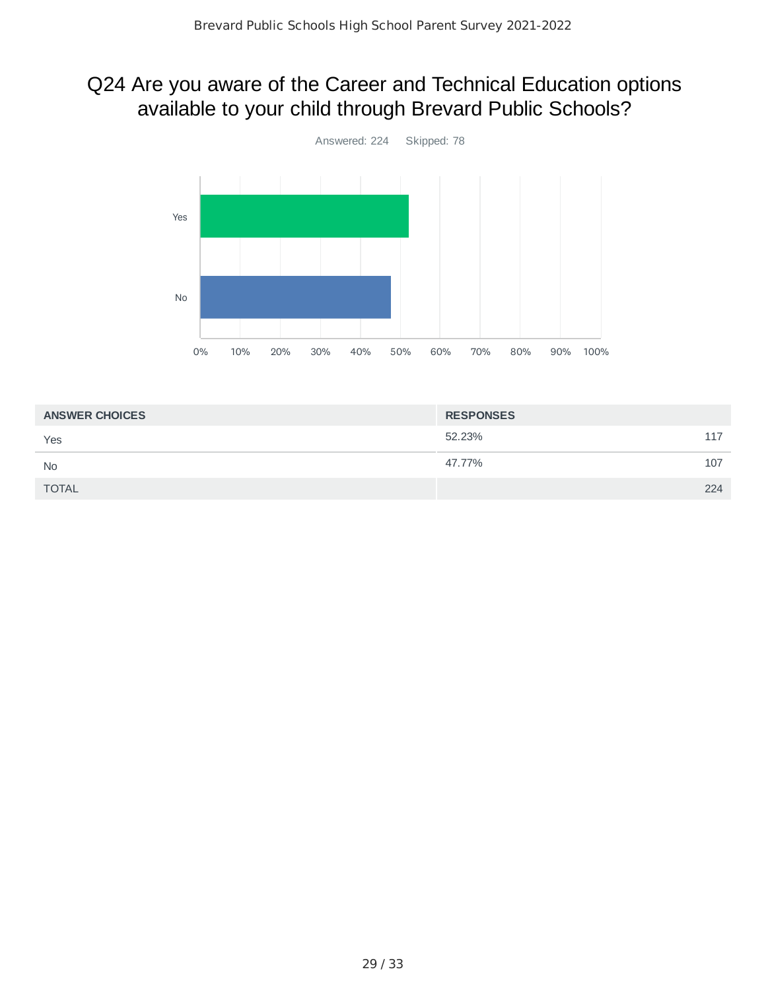## Q24 Are you aware of the Career and Technical Education options available to your child through Brevard Public Schools?



| <b>ANSWER CHOICES</b> | <b>RESPONSES</b> |     |
|-----------------------|------------------|-----|
| Yes                   | 52.23%           | 117 |
| <b>No</b>             | 47.77%           | 107 |
| <b>TOTAL</b>          |                  | 224 |
|                       |                  |     |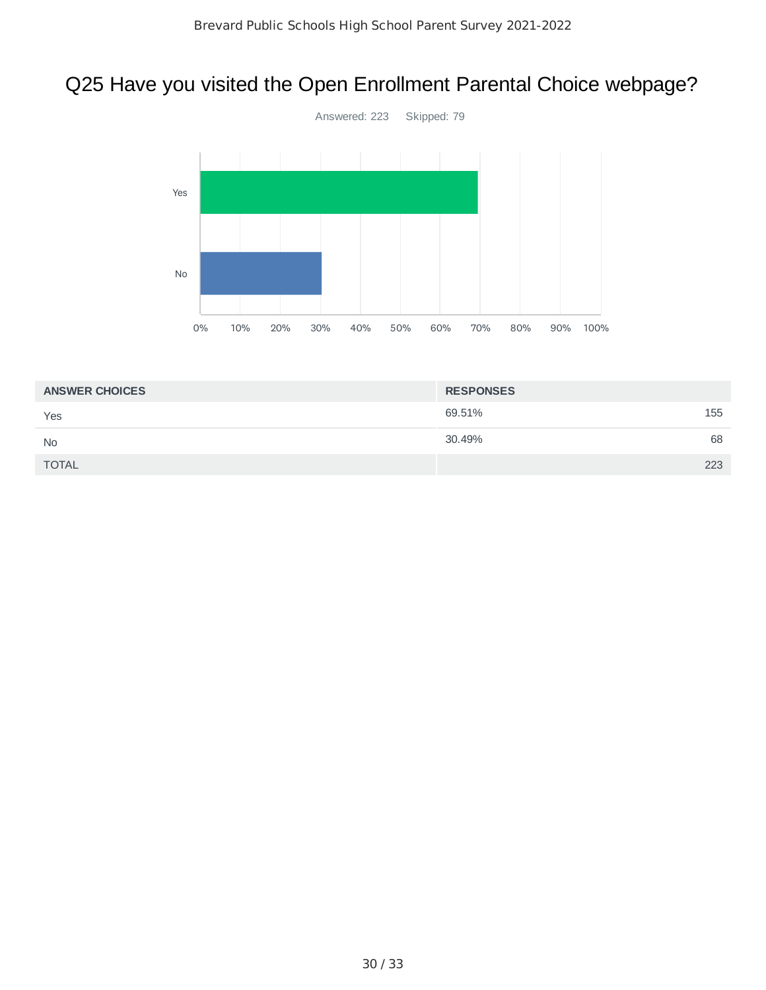## Q25 Have you visited the Open Enrollment Parental Choice webpage?



| <b>ANSWER CHOICES</b> | <b>RESPONSES</b> |    |
|-----------------------|------------------|----|
| Yes                   | 155<br>69.51%    |    |
| <b>No</b>             | 30.49%           | 68 |
| <b>TOTAL</b>          | 223              |    |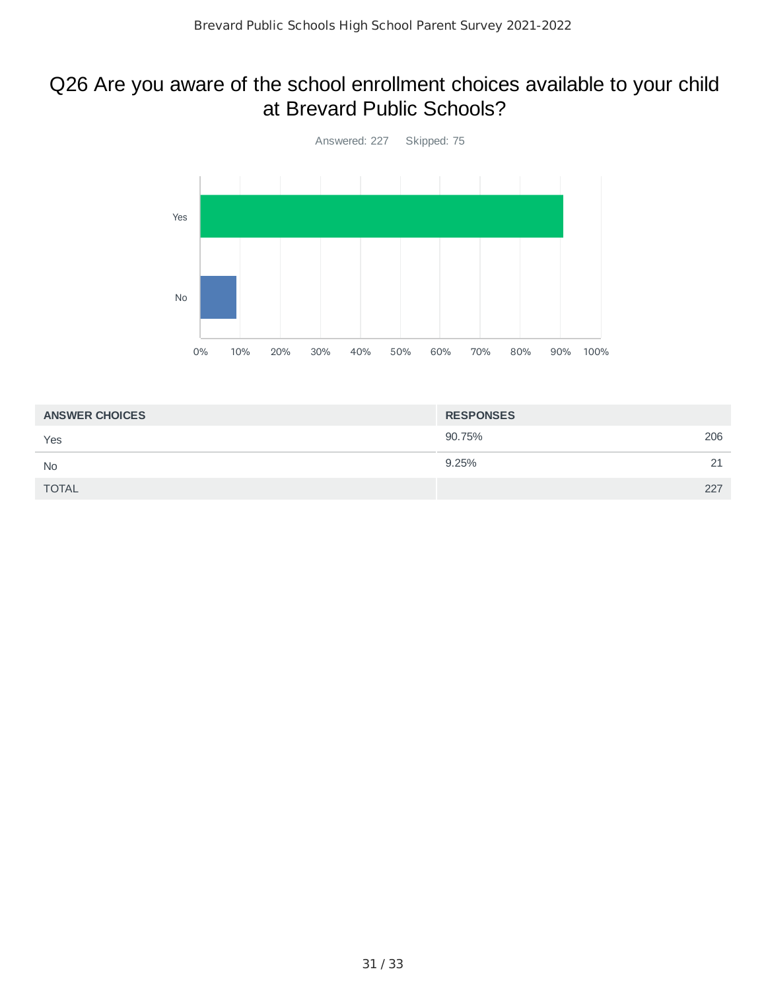#### Q26 Are you aware of the school enrollment choices available to your child at Brevard Public Schools?



| <b>ANSWER CHOICES</b> | <b>RESPONSES</b> |     |
|-----------------------|------------------|-----|
| Yes                   | 90.75%           | 206 |
| <b>No</b>             | 9.25%            | 21  |
| <b>TOTAL</b>          |                  | 227 |
|                       |                  |     |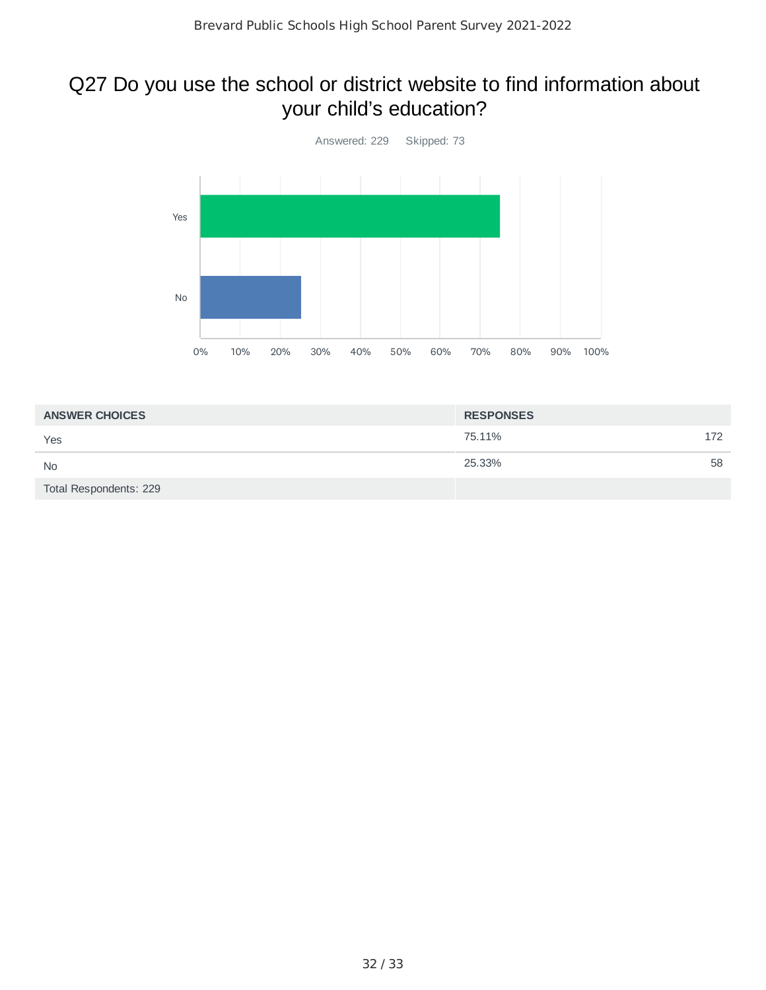## Q27 Do you use the school or district website to find information about your child's education?



| <b>ANSWER CHOICES</b>  | <b>RESPONSES</b> |     |
|------------------------|------------------|-----|
| Yes                    | 75.11%           | 172 |
| <b>No</b>              | 25.33%           | 58  |
| Total Respondents: 229 |                  |     |